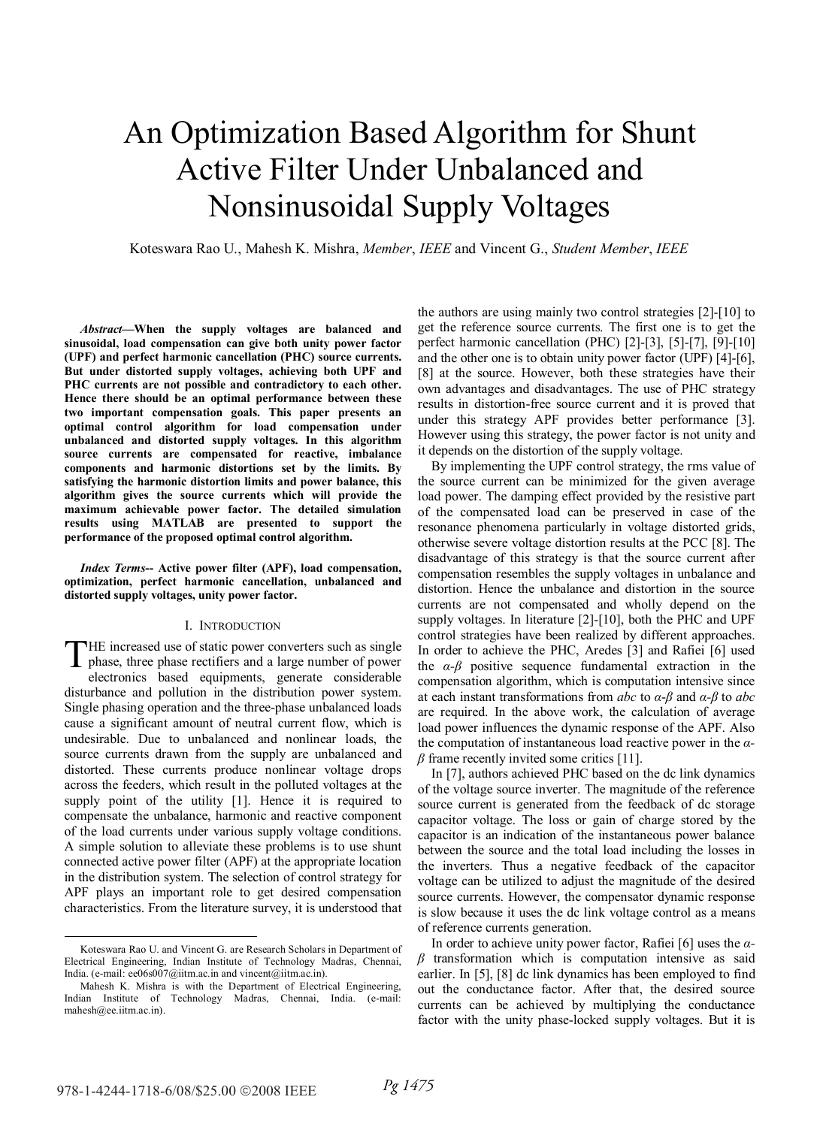# An Optimization Based Algorithm for Shunt Active Filter Under Unbalanced and Nonsinusoidal Supply Voltages

Koteswara Rao U., Mahesh K. Mishra, *Member*, *IEEE* and Vincent G., *Student Member*, *IEEE* 

*Abstract***—When the supply voltages are balanced and sinusoidal, load compensation can give both unity power factor (UPF) and perfect harmonic cancellation (PHC) source currents. But under distorted supply voltages, achieving both UPF and PHC currents are not possible and contradictory to each other. Hence there should be an optimal performance between these two important compensation goals. This paper presents an optimal control algorithm for load compensation under unbalanced and distorted supply voltages. In this algorithm source currents are compensated for reactive, imbalance components and harmonic distortions set by the limits. By satisfying the harmonic distortion limits and power balance, this algorithm gives the source currents which will provide the maximum achievable power factor. The detailed simulation results using MATLAB are presented to support the performance of the proposed optimal control algorithm.** 

*Index Terms***-- Active power filter (APF), load compensation, optimization, perfect harmonic cancellation, unbalanced and distorted supply voltages, unity power factor.** 

#### I. INTRODUCTION

THE increased use of static power converters such as single phase, three phase rectifiers and a large number of power phase, three phase rectifiers and a large number of power electronics based equipments, generate considerable disturbance and pollution in the distribution power system. Single phasing operation and the three-phase unbalanced loads cause a significant amount of neutral current flow, which is undesirable. Due to unbalanced and nonlinear loads, the source currents drawn from the supply are unbalanced and distorted. These currents produce nonlinear voltage drops across the feeders, which result in the polluted voltages at the supply point of the utility [1]. Hence it is required to compensate the unbalance, harmonic and reactive component of the load currents under various supply voltage conditions. A simple solution to alleviate these problems is to use shunt connected active power filter (APF) at the appropriate location in the distribution system. The selection of control strategy for APF plays an important role to get desired compensation characteristics. From the literature survey, it is understood that the authors are using mainly two control strategies [2]-[10] to get the reference source currents. The first one is to get the perfect harmonic cancellation (PHC) [2]-[3], [5]-[7], [9]-[10] and the other one is to obtain unity power factor (UPF) [4]-[6], [8] at the source. However, both these strategies have their own advantages and disadvantages. The use of PHC strategy results in distortion-free source current and it is proved that under this strategy APF provides better performance [3]. However using this strategy, the power factor is not unity and it depends on the distortion of the supply voltage.

 By implementing the UPF control strategy, the rms value of the source current can be minimized for the given average load power. The damping effect provided by the resistive part of the compensated load can be preserved in case of the resonance phenomena particularly in voltage distorted grids, otherwise severe voltage distortion results at the PCC [8]. The disadvantage of this strategy is that the source current after compensation resembles the supply voltages in unbalance and distortion. Hence the unbalance and distortion in the source currents are not compensated and wholly depend on the supply voltages. In literature [2]-[10], both the PHC and UPF control strategies have been realized by different approaches. In order to achieve the PHC, Aredes [3] and Rafiei [6] used the *α-β* positive sequence fundamental extraction in the compensation algorithm, which is computation intensive since at each instant transformations from *abc* to *α*-*β* and *α-β* to *abc* are required. In the above work, the calculation of average load power influences the dynamic response of the APF. Also the computation of instantaneous load reactive power in the *αβ* frame recently invited some critics [11].

 In [7], authors achieved PHC based on the dc link dynamics of the voltage source inverter. The magnitude of the reference source current is generated from the feedback of dc storage capacitor voltage. The loss or gain of charge stored by the capacitor is an indication of the instantaneous power balance between the source and the total load including the losses in the inverters. Thus a negative feedback of the capacitor voltage can be utilized to adjust the magnitude of the desired source currents. However, the compensator dynamic response is slow because it uses the dc link voltage control as a means of reference currents generation.

 In order to achieve unity power factor, Rafiei [6] uses the *αβ* transformation which is computation intensive as said earlier. In [5], [8] dc link dynamics has been employed to find out the conductance factor. After that, the desired source currents can be achieved by multiplying the conductance factor with the unity phase-locked supply voltages. But it is

Koteswara Rao U. and Vincent G. are Research Scholars in Department of Electrical Engineering, Indian Institute of Technology Madras, Chennai, India. (e-mail: ee06s007@iitm.ac.in and vincent@iitm.ac.in).

Mahesh K. Mishra is with the Department of Electrical Engineering, Indian Institute of Technology Madras, Chennai, India. (e-mail: mahesh@ee.iitm.ac.in).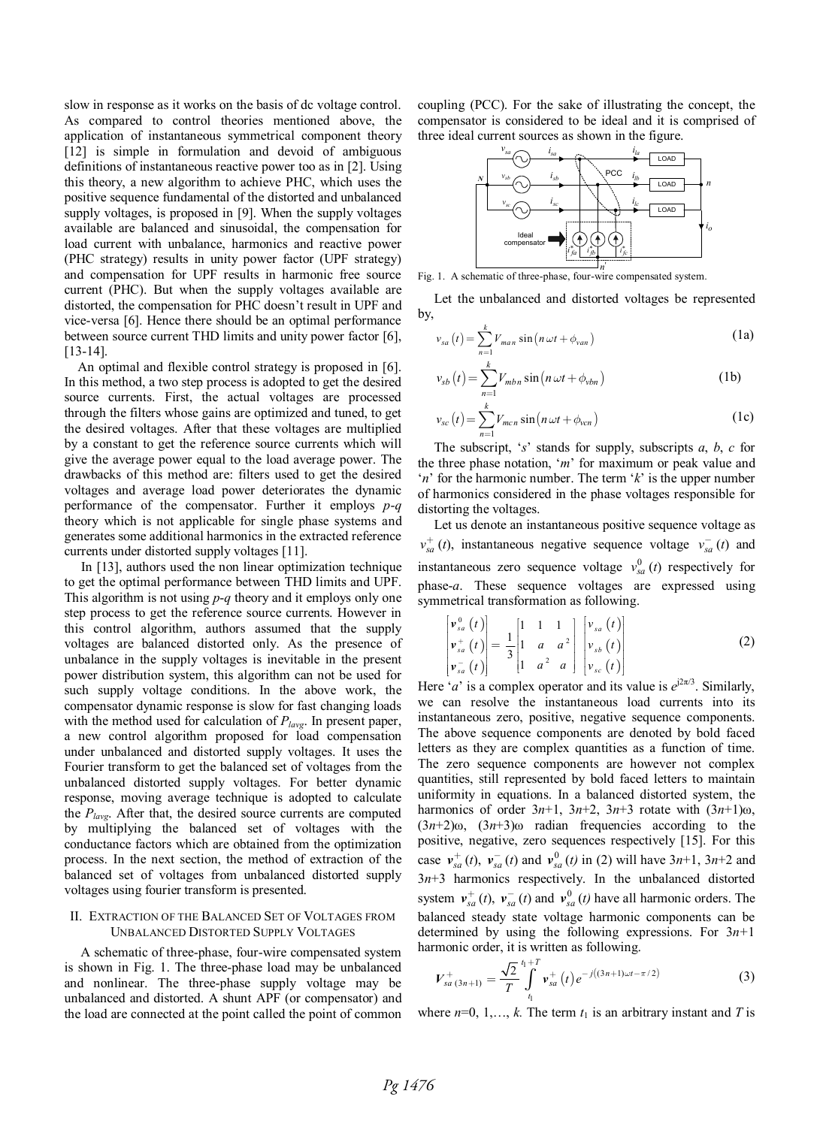slow in response as it works on the basis of dc voltage control. As compared to control theories mentioned above, the application of instantaneous symmetrical component theory [12] is simple in formulation and devoid of ambiguous definitions of instantaneous reactive power too as in [2]. Using this theory, a new algorithm to achieve PHC, which uses the positive sequence fundamental of the distorted and unbalanced supply voltages, is proposed in [9]. When the supply voltages available are balanced and sinusoidal, the compensation for load current with unbalance, harmonics and reactive power (PHC strategy) results in unity power factor (UPF strategy) and compensation for UPF results in harmonic free source current (PHC). But when the supply voltages available are distorted, the compensation for PHC doesn't result in UPF and vice-versa [6]. Hence there should be an optimal performance between source current THD limits and unity power factor [6], [13-14].

 An optimal and flexible control strategy is proposed in [6]. In this method, a two step process is adopted to get the desired source currents. First, the actual voltages are processed through the filters whose gains are optimized and tuned, to get the desired voltages. After that these voltages are multiplied by a constant to get the reference source currents which will give the average power equal to the load average power. The drawbacks of this method are: filters used to get the desired voltages and average load power deteriorates the dynamic performance of the compensator. Further it employs *p*-*q* theory which is not applicable for single phase systems and generates some additional harmonics in the extracted reference currents under distorted supply voltages [11].

 In [13], authors used the non linear optimization technique to get the optimal performance between THD limits and UPF. This algorithm is not using *p*-*q* theory and it employs only one step process to get the reference source currents. However in this control algorithm, authors assumed that the supply voltages are balanced distorted only. As the presence of unbalance in the supply voltages is inevitable in the present power distribution system, this algorithm can not be used for such supply voltage conditions. In the above work, the compensator dynamic response is slow for fast changing loads with the method used for calculation of *Plavg*. In present paper, a new control algorithm proposed for load compensation under unbalanced and distorted supply voltages. It uses the Fourier transform to get the balanced set of voltages from the unbalanced distorted supply voltages. For better dynamic response, moving average technique is adopted to calculate the  $P_{\text{layer}}$ . After that, the desired source currents are computed by multiplying the balanced set of voltages with the conductance factors which are obtained from the optimization process. In the next section, the method of extraction of the balanced set of voltages from unbalanced distorted supply voltages using fourier transform is presented.

## II. EXTRACTION OF THE BALANCED SET OF VOLTAGES FROM UNBALANCED DISTORTED SUPPLY VOLTAGES

A schematic of three-phase, four-wire compensated system is shown in Fig. 1. The three-phase load may be unbalanced and nonlinear. The three-phase supply voltage may be unbalanced and distorted. A shunt APF (or compensator) and the load are connected at the point called the point of common coupling (PCC). For the sake of illustrating the concept, the compensator is considered to be ideal and it is comprised of three ideal current sources as shown in the figure.



*n*'<br>Fig. 1. A schematic of three-phase, four-wire compensated system.

Let the unbalanced and distorted voltages be represented by,

$$
v_{sa}(t) = \sum_{n=1}^{k} V_{man} \sin(n\,\omega t + \phi_{van})
$$
 (1a)

$$
v_{sb}(t) = \sum_{n=1}^{k} V_{mbn} \sin(n\omega t + \phi_{vbn})
$$
 (1b)

$$
v_{sc}(t) = \sum_{n=1}^{k} V_{mcn} \sin(n\omega t + \phi_{ven})
$$
 (1c)

The subscript, '*s*' stands for supply, subscripts *a*, *b*, *c* for the three phase notation, '*m*' for maximum or peak value and '*n*' for the harmonic number. The term '*k*' is the upper number of harmonics considered in the phase voltages responsible for distorting the voltages.

Let us denote an instantaneous positive sequence voltage as  $v_{sa}^+(t)$ , instantaneous negative sequence voltage  $v_{sa}^-(t)$  and instantaneous zero sequence voltage  $v_{sa}^0(t)$  respectively for phase-*a*. These sequence voltages are expressed using symmetrical transformation as following.

$$
\begin{bmatrix} \mathbf{v}_{sa}^{0} (t) \\ \mathbf{v}_{sa}^{+} (t) \\ \mathbf{v}_{sa}^{-} (t) \end{bmatrix} = \frac{1}{3} \begin{bmatrix} 1 & 1 & 1 \\ 1 & a & a^2 \\ 1 & a^2 & a \end{bmatrix} \begin{bmatrix} v_{sa} (t) \\ v_{sb} (t) \\ v_{se} (t) \end{bmatrix}
$$
 (2)

Here '*a*' is a complex operator and its value is  $e^{j2\pi/3}$ . Similarly, we can resolve the instantaneous load currents into its instantaneous zero, positive, negative sequence components. The above sequence components are denoted by bold faced letters as they are complex quantities as a function of time. The zero sequence components are however not complex quantities, still represented by bold faced letters to maintain uniformity in equations. In a balanced distorted system, the harmonics of order  $3n+1$ ,  $3n+2$ ,  $3n+3$  rotate with  $(3n+1)$ ω, (3*n*+2)ω, (3*n*+3)ω radian frequencies according to the positive, negative, zero sequences respectively [15]. For this case  $v_{sa}^{+}(t)$ ,  $v_{sa}^{-}(t)$  and  $v_{sa}^{0}(t)$  in (2) will have  $3n+1$ ,  $3n+2$  and  $3n+3$  harmonics respectively. In the unbalanced distorted system  $v_{sa}^+(t)$ ,  $v_{sa}^-(t)$  and  $v_{sa}^0(t)$  have all harmonic orders. The balanced steady state voltage harmonic components can be determined by using the following expressions. For 3*n+*1 harmonic order, it is written as following.

$$
V_{sa(3n+1)}^{+} = \frac{\sqrt{2}}{T} \int_{t_1}^{t_1+T} v_{sa}^{+}(t) e^{-j((3n+1)\omega t - \pi/2)}
$$
(3)

where  $n=0, 1,..., k$ . The term  $t_1$  is an arbitrary instant and *T* is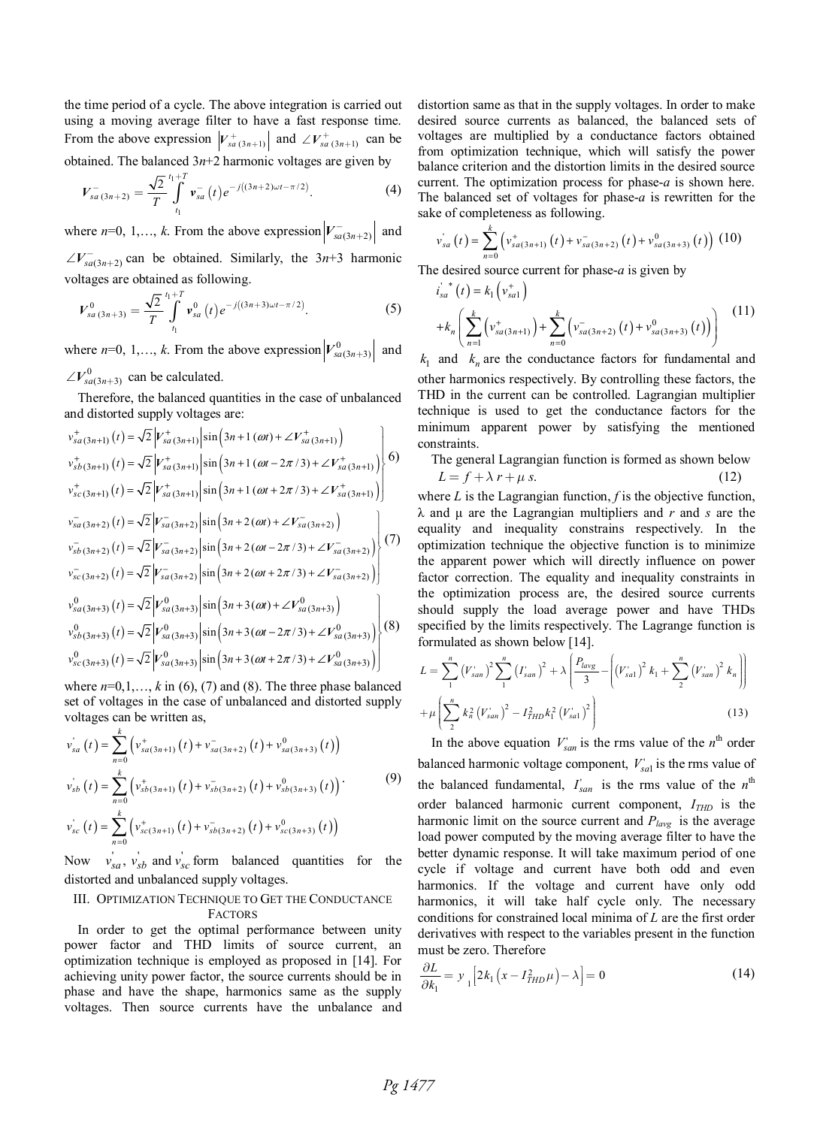the time period of a cycle. The above integration is carried out using a moving average filter to have a fast response time. From the above expression  $|V_{sa(3n+1)}^+|$  and  $\angle V_{sa(3n+1)}^+$  can be obtained. The balanced  $3n+2$  harmonic voltages are given by

$$
V_{sa(3n+2)}^{-} = \frac{\sqrt{2}}{T} \int_{t_1}^{t_1+T} \mathbf{v}_{sa}^{-}(t) e^{-j((3n+2)\omega t - \pi/2)}.
$$
 (4)

where  $n=0, 1,..., k$ . From the above expression  $|V_{sa(3n+2)}^-|$  and

 $\angle V_{sa(3n+2)}^-$  can be obtained. Similarly, the 3*n*+3 harmonic voltages are obtained as following.

$$
V_{sa(3n+3)}^0 = \frac{\sqrt{2}}{T} \int_{t_1}^{t_1+T} \mathbf{v}_{sa}^0(t) e^{-j((3n+3)\omega t - \pi/2)}.
$$
 (5)

where  $n=0, 1,..., k$ . From the above expression  $\left| V_{sa(3n+3)}^0 \right|$  and

 $\angle V_{sa(3n+3)}^0$  can be calculated.

 Therefore, the balanced quantities in the case of unbalanced and distorted supply voltages are:

$$
v_{sa(3n+1)}^{+}(t) = \sqrt{2} |V_{sa(3n+1)}^{+}|\sin(3n+1(\omega t) + \angle V_{sa(3n+1)}^{+})
$$
  
\n
$$
v_{sb(3n+1)}^{+}(t) = \sqrt{2} |V_{sa(3n+1)}^{+}|\sin(3n+1(\omega t - 2\pi/3) + \angle V_{sa(3n+1)}^{+})|
$$
  
\n
$$
v_{sc(3n+1)}^{+}(t) = \sqrt{2} |V_{sa(3n+1)}^{+}|\sin(3n+1(\omega t + 2\pi/3) + \angle V_{sa(3n+1)}^{+})|
$$
  
\n
$$
v_{sa(3n+2)}^{-}(t) = \sqrt{2} |V_{sa(3n+2)}^{-}|\sin(3n+2(\omega t) + \angle V_{sa(3n+2)}^{-})|
$$
  
\n
$$
v_{sb(3n+2)}^{-}(t) = \sqrt{2} |V_{sa(3n+2)}^{-}|\sin(3n+2(\omega t - 2\pi/3) + \angle V_{sa(3n+2)}^{-})|
$$
  
\n
$$
v_{sc(3n+2)}^{-}(t) = \sqrt{2} |V_{sa(3n+2)}^{-}|\sin(3n+2(\omega t + 2\pi/3) + \angle V_{sa(3n+2)}^{-})|
$$
  
\n
$$
v_{sc(3n+3)}^{0}(t) = \sqrt{2} |V_{sa(3n+3)}^{-}|\sin(3n+3(\omega t) + \angle V_{sa(3n+3)}^{0})|
$$
  
\n
$$
v_{sb(3n+3)}^{0}(t) = \sqrt{2} |V_{sa(3n+3)}^{0}|\sin(3n+3(\omega t - 2\pi/3) + \angle V_{sa(3n+3)}^{0}|
$$
  
\n
$$
v_{sc(3n+3)}^{0}(t) = \sqrt{2} |V_{sa(3n+3)}^{-}|\sin(3n+3(\omega t - 2\pi/3) + \angle V_{sa(3n+3)}^{0}|
$$
  
\n
$$
v_{sc(3n+3)}^{0}(t) = \sqrt{2} |V_{sa(3n+3)}^{-}|\sin(3n+3(\omega t + 2\pi/3) + \angle V_{sa(3n+3)}^{0}|
$$
  
\n(8)

where  $n=0,1,\ldots,k$  in (6), (7) and (8). The three phase balanced set of voltages in the case of unbalanced and distorted supply voltages can be written as,

$$
v_{sa}^{+}(t) = \sum_{n=0}^{k} \left( v_{sa(3n+1)}^{+}(t) + v_{sa(3n+2)}^{-}(t) + v_{sa(3n+3)}^{0}(t) \right)
$$
  
\n
$$
v_{sb}^{+}(t) = \sum_{n=0}^{k} \left( v_{sb(3n+1)}^{+}(t) + v_{sb(3n+2)}^{-}(t) + v_{sb(3n+3)}^{0}(t) \right)
$$
  
\n
$$
v_{sc}^{+}(t) = \sum_{n=0}^{k} \left( v_{sc(3n+1)}^{+}(t) + v_{sb(3n+2)}^{-}(t) + v_{sc(3n+3)}^{0}(t) \right)
$$
  
\n(9)

Now  $v_{sa}$ ,  $v_{sb}$  and  $v_{sc}$  form balanced quantities for the distorted and unbalanced supply voltages.

## III. OPTIMIZATION TECHNIQUE TO GET THE CONDUCTANCE FACTORS

 In order to get the optimal performance between unity power factor and THD limits of source current, an optimization technique is employed as proposed in [14]. For achieving unity power factor, the source currents should be in phase and have the shape, harmonics same as the supply voltages. Then source currents have the unbalance and distortion same as that in the supply voltages. In order to make desired source currents as balanced, the balanced sets of voltages are multiplied by a conductance factors obtained from optimization technique, which will satisfy the power balance criterion and the distortion limits in the desired source current. The optimization process for phase-*a* is shown here. The balanced set of voltages for phase-*a* is rewritten for the sake of completeness as following.

$$
v_{sa}(t) = \sum_{n=0}^{k} \left( v_{sa(3n+1)}^{+}(t) + v_{sa(3n+2)}^{-}(t) + v_{sa(3n+3)}^{0}(t) \right) (10)
$$

The desired source current for phase-*a* is given by

$$
\begin{aligned}\ni_{sa}^{\prime\,*}(t) &= k_1 \left(v_{sa1}^+\right) \\
&+ k_n \left(\sum_{n=1}^k \left(v_{sa(3n+1)}^+\right) + \sum_{n=0}^k \left(v_{sa(3n+2)}^-(t) + v_{sa(3n+3)}^0(t)\right)\right)\n\end{aligned} \tag{11}
$$

 $k_1$  and  $k_n$  are the conductance factors for fundamental and other harmonics respectively. By controlling these factors, the THD in the current can be controlled. Lagrangian multiplier technique is used to get the conductance factors for the minimum apparent power by satisfying the mentioned constraints.

 The general Lagrangian function is formed as shown below  $L = f + \lambda r + \mu s.$  (12)

where *L* is the Lagrangian function, *f* is the objective function, λ and µ are the Lagrangian multipliers and *r* and *s* are the equality and inequality constrains respectively. In the optimization technique the objective function is to minimize the apparent power which will directly influence on power factor correction. The equality and inequality constraints in the optimization process are, the desired source currents should supply the load average power and have THDs specified by the limits respectively. The Lagrange function is formulated as shown below [14].

$$
L = \sum_{1}^{n} (V'_{san})^{2} \sum_{1}^{n} (I'_{san})^{2} + \lambda \left( \frac{P_{lavg}}{3} - \left( (V'_{sal})^{2} k_{1} + \sum_{2}^{n} (V'_{san})^{2} k_{n} \right) \right)
$$
  
+  $\mu \left( \sum_{2}^{n} k_{n}^{2} (V'_{san})^{2} - I_{THD}^{2} k_{1}^{2} (V'_{sal})^{2} \right)$  (13)

In the above equation  $V_{san}$  is the rms value of the  $n<sup>th</sup>$  order balanced harmonic voltage component,  $V_{sal}$  is the rms value of the balanced fundamental,  $I'_{san}$  is the rms value of the  $n<sup>th</sup>$ order balanced harmonic current component,  $I_{THD}$  is the harmonic limit on the source current and  $P_{\text{layer}}$  is the average load power computed by the moving average filter to have the better dynamic response. It will take maximum period of one cycle if voltage and current have both odd and even harmonics. If the voltage and current have only odd harmonics, it will take half cycle only. The necessary conditions for constrained local minima of *L* are the first order derivatives with respect to the variables present in the function must be zero. Therefore

$$
\frac{\partial L}{\partial k_1} = y \Big| 2k_1 \left( x - I_{THD}^2 \mu \right) - \lambda \Big| = 0 \tag{14}
$$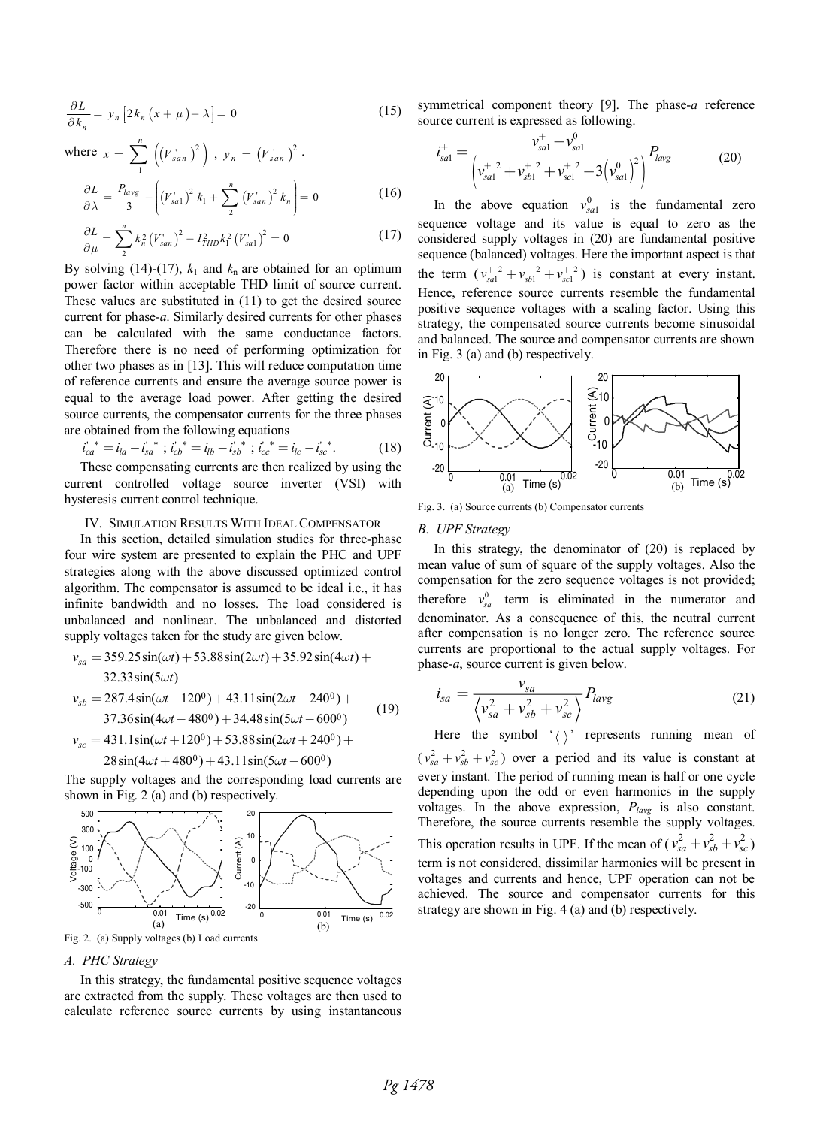$$
\frac{\partial L}{\partial k_n} = y_n \left[ 2k_n \left( x + \mu \right) - \lambda \right] = 0 \tag{15}
$$

where  $x = \sum_{ }^{ } \left( \left( V_{san}^{ } \right) ^{ 2 } \right)$ ,  $y_n = \left( V_{san}^{ } \right) ^{ 2 }$ 1 ,  $x = \sum_{n=1}^{n} ((V_{san}^{\dagger})^{2}), y_{n} = (V_{san}^{\dagger})^{2}.$ 

$$
\frac{\partial L}{\partial \lambda} = \frac{P_{lavg}}{3} - \left( \left( V_{sal}^{'} \right)^2 k_1 + \sum_{2}^{n} \left( V_{san}^{'} \right)^2 k_n \right) = 0 \tag{16}
$$

$$
\frac{\partial L}{\partial \mu} = \sum_{2}^{n} k_n^2 \left( V_{san}^{\prime} \right)^2 - I_{THD}^2 k_1^2 \left( V_{sal}^{\prime} \right)^2 = 0 \tag{17}
$$

By solving (14)-(17),  $k_1$  and  $k_n$  are obtained for an optimum power factor within acceptable THD limit of source current. These values are substituted in (11) to get the desired source current for phase-*a*. Similarly desired currents for other phases can be calculated with the same conductance factors. Therefore there is no need of performing optimization for other two phases as in [13]. This will reduce computation time of reference currents and ensure the average source power is equal to the average load power. After getting the desired source currents, the compensator currents for the three phases are obtained from the following equations

$$
i'_{ca}^* = i_{la} - i'_{sa}^* ; i'_{cb}^* = i_{lb} - i'_{sb}^* ; i'_{cc}^* = i_{lc} - i'_{sc}^*.
$$
 (18)

These compensating currents are then realized by using the current controlled voltage source inverter (VSI) with hysteresis current control technique.

# IV. SIMULATION RESULTS WITH IDEAL COMPENSATOR

In this section, detailed simulation studies for three-phase four wire system are presented to explain the PHC and UPF strategies along with the above discussed optimized control algorithm. The compensator is assumed to be ideal i.e., it has infinite bandwidth and no losses. The load considered is unbalanced and nonlinear. The unbalanced and distorted supply voltages taken for the study are given below.

$$
v_{sa} = 359.25 \sin(\omega t) + 53.88 \sin(2\omega t) + 35.92 \sin(4\omega t) + 32.33 \sin(5\omega t)
$$
  
\n
$$
v_{sb} = 287.4 \sin(\omega t - 120^0) + 43.11 \sin(2\omega t - 240^0) + 37.36 \sin(4\omega t - 480^0) + 34.48 \sin(5\omega t - 600^0)
$$
  
\n
$$
v_{sc} = 431.1 \sin(\omega t + 120^0) + 53.88 \sin(2\omega t + 240^0) + 34.48 \sin(5\omega t - 240^0)
$$

 $28\sin(4\omega t + 480^\circ) + 43.11\sin(5\omega t - 600^\circ)$ 

The supply voltages and the corresponding load currents are shown in Fig. 2 (a) and (b) respectively.



Fig. 2. (a) Supply voltages (b) Load currents

# *A. PHC Strategy*

In this strategy, the fundamental positive sequence voltages are extracted from the supply. These voltages are then used to calculate reference source currents by using instantaneous symmetrical component theory [9]. The phase-*a* reference source current is expressed as following.

$$
i_{sal}^{+} = \frac{v_{sal}^{+} - v_{sal}^{0}}{\left(v_{sal}^{+2} + v_{sol}^{+2} + v_{sel}^{+2} - 3(v_{sal}^{0})^{2}\right)} P_{lavg}
$$
(20)

In the above equation  $v_{sal}^0$  is the fundamental zero sequence voltage and its value is equal to zero as the considered supply voltages in (20) are fundamental positive sequence (balanced) voltages. Here the important aspect is that the term  $(v_{sal}^{+2} + v_{sh}^{+2} + v_{sel}^{+2})$  is constant at every instant. Hence, reference source currents resemble the fundamental positive sequence voltages with a scaling factor. Using this strategy, the compensated source currents become sinusoidal and balanced. The source and compensator currents are shown in Fig. 3 (a) and (b) respectively.



Fig. 3. (a) Source currents (b) Compensator currents

#### *B. UPF Strategy*

In this strategy, the denominator of (20) is replaced by mean value of sum of square of the supply voltages. Also the compensation for the zero sequence voltages is not provided; therefore  $v_{sa}^0$  term is eliminated in the numerator and denominator. As a consequence of this, the neutral current after compensation is no longer zero. The reference source currents are proportional to the actual supply voltages. For phase-*a*, source current is given below.

$$
i_{sa} = \frac{v_{sa}}{\left\langle v_{sa}^2 + v_{sb}^2 + v_{sc}^2 \right\rangle} P_{lavg}
$$
 (21)

Here the symbol  $\langle \rangle$  represents running mean of  $(v_{sa}^2 + v_{sb}^2 + v_{sc}^2)$  over a period and its value is constant at every instant. The period of running mean is half or one cycle depending upon the odd or even harmonics in the supply voltages. In the above expression, *Plavg* is also constant. Therefore, the source currents resemble the supply voltages. This operation results in UPF. If the mean of  $(v_{sa}^2 + v_{sb}^2 + v_{sc}^2)$ term is not considered, dissimilar harmonics will be present in voltages and currents and hence, UPF operation can not be achieved. The source and compensator currents for this strategy are shown in Fig. 4 (a) and (b) respectively.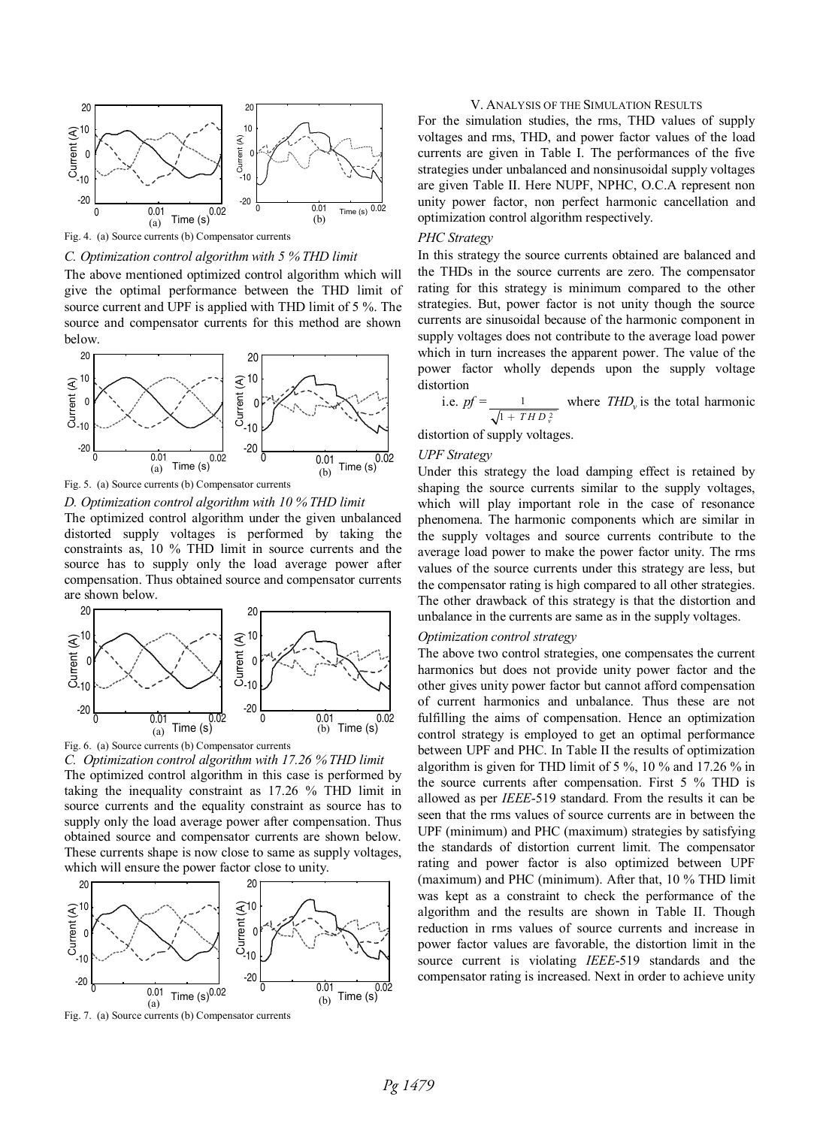

Fig. 4. (a) Source currents (b) Compensator currents

# *C. Optimization control algorithm with 5 % THD limit*

The above mentioned optimized control algorithm which will give the optimal performance between the THD limit of source current and UPF is applied with THD limit of 5 %. The source and compensator currents for this method are shown below.



Fig. 5. (a) Source currents (b) Compensator currents

#### *D. Optimization control algorithm with 10 % THD limit*

The optimized control algorithm under the given unbalanced distorted supply voltages is performed by taking the constraints as, 10 % THD limit in source currents and the source has to supply only the load average power after compensation. Thus obtained source and compensator currents are shown below.





*C. Optimization control algorithm with 17.26 % THD limit*  The optimized control algorithm in this case is performed by taking the inequality constraint as 17.26 % THD limit in source currents and the equality constraint as source has to supply only the load average power after compensation. Thus obtained source and compensator currents are shown below. These currents shape is now close to same as supply voltages, which will ensure the power factor close to unity.





#### V. ANALYSIS OF THE SIMULATION RESULTS

For the simulation studies, the rms, THD values of supply voltages and rms, THD, and power factor values of the load currents are given in Table I. The performances of the five strategies under unbalanced and nonsinusoidal supply voltages are given Table II. Here NUPF, NPHC, O.C.A represent non unity power factor, non perfect harmonic cancellation and optimization control algorithm respectively.

## *PHC Strategy*

In this strategy the source currents obtained are balanced and the THDs in the source currents are zero. The compensator rating for this strategy is minimum compared to the other strategies. But, power factor is not unity though the source currents are sinusoidal because of the harmonic component in supply voltages does not contribute to the average load power which in turn increases the apparent power. The value of the power factor wholly depends upon the supply voltage distortion

i.e. 
$$
pf = \frac{1}{\sqrt{1 + THD_v^2}}
$$
 where *THD<sub>v</sub>* is the total harmonic

distortion of supply voltages.

#### *UPF Strategy*

Under this strategy the load damping effect is retained by shaping the source currents similar to the supply voltages, which will play important role in the case of resonance phenomena. The harmonic components which are similar in the supply voltages and source currents contribute to the average load power to make the power factor unity. The rms values of the source currents under this strategy are less, but the compensator rating is high compared to all other strategies. The other drawback of this strategy is that the distortion and unbalance in the currents are same as in the supply voltages.

#### *Optimization control strategy*

The above two control strategies, one compensates the current harmonics but does not provide unity power factor and the other gives unity power factor but cannot afford compensation of current harmonics and unbalance. Thus these are not fulfilling the aims of compensation. Hence an optimization control strategy is employed to get an optimal performance between UPF and PHC. In Table II the results of optimization algorithm is given for THD limit of 5 %, 10 % and 17.26 % in the source currents after compensation. First 5 % THD is allowed as per *IEEE*-519 standard. From the results it can be seen that the rms values of source currents are in between the UPF (minimum) and PHC (maximum) strategies by satisfying the standards of distortion current limit. The compensator rating and power factor is also optimized between UPF (maximum) and PHC (minimum). After that, 10 % THD limit was kept as a constraint to check the performance of the algorithm and the results are shown in Table II. Though reduction in rms values of source currents and increase in power factor values are favorable, the distortion limit in the source current is violating *IEEE*-519 standards and the compensator rating is increased. Next in order to achieve unity